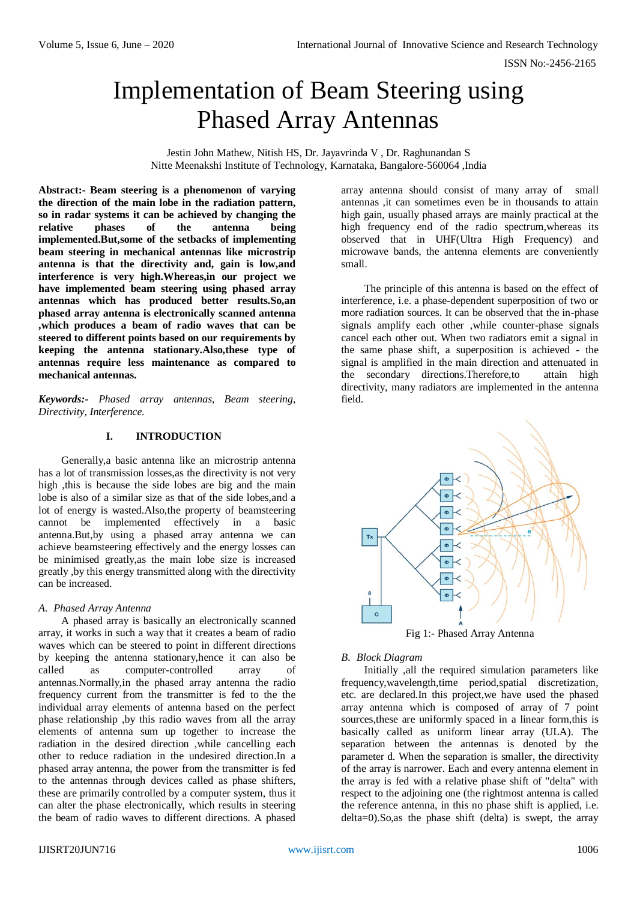ISSN No:-2456-2165

# Implementation of Beam Steering using Phased Array Antennas

Jestin John Mathew, Nitish HS, Dr. Jayavrinda V , Dr. Raghunandan S Nitte Meenakshi Institute of Technology, Karnataka, Bangalore-560064 ,India

**Abstract:- Beam steering is a phenomenon of varying the direction of the main lobe in the radiation pattern, so in radar systems it can be achieved by changing the relative phases of the antenna being implemented.But,some of the setbacks of implementing beam steering in mechanical antennas like microstrip antenna is that the directivity and, gain is low,and interference is very high.Whereas,in our project we have implemented beam steering using phased array antennas which has produced better results.So,an phased array antenna is electronically scanned antenna ,which produces a beam of radio waves that can be steered to different points based on our requirements by keeping the antenna stationary.Also,these type of antennas require less maintenance as compared to mechanical antennas.**

*Keywords:- Phased array antennas, Beam steering, Directivity, Interference.*

## **I. INTRODUCTION**

Generally,a basic antenna like an microstrip antenna has a lot of transmission losses,as the directivity is not very high ,this is because the side lobes are big and the main lobe is also of a similar size as that of the side lobes,and a lot of energy is wasted.Also,the property of beamsteering cannot be implemented effectively in a basic antenna.But,by using a phased array antenna we can achieve beamsteering effectively and the energy losses can be minimised greatly,as the main lobe size is increased greatly ,by this energy transmitted along with the directivity can be increased.

## *A. Phased Array Antenna*

A phased array is basically an electronically scanned array, it works in such a way that it creates a beam of radio waves which can be steered to point in different directions by keeping the antenna stationary,hence it can also be called as computer-controlled array of antennas.Normally,in the phased array antenna the radio frequency current from the transmitter is fed to the the individual array elements of antenna based on the perfect phase relationship ,by this radio waves from all the array elements of antenna sum up together to increase the radiation in the desired direction ,while cancelling each other to reduce radiation in the undesired direction.In a phased array antenna, the power from the transmitter is fed to the antennas through devices called as phase shifters, these are primarily controlled by a computer system, thus it can alter the phase electronically, which results in steering the beam of radio waves to different directions. A phased

array antenna should consist of many array of small antennas ,it can sometimes even be in thousands to attain high gain, usually phased arrays are mainly practical at the high frequency end of the radio spectrum,whereas its observed that in UHF(Ultra High Frequency) and microwave bands, the antenna elements are conveniently small.

The principle of this antenna is based on the effect of interference, i.e. a phase-dependent superposition of two or more radiation sources. It can be observed that the in-phase signals amplify each other ,while counter-phase signals cancel each other out. When two radiators emit a signal in the same phase shift, a superposition is achieved - the signal is amplified in the main direction and attenuated in the secondary directions.Therefore,to attain high directivity, many radiators are implemented in the antenna field.



# *B. Block Diagram*

Initially ,all the required simulation parameters like frequency,wavelength,time period,spatial discretization, etc. are declared.In this project,we have used the phased array antenna which is composed of array of 7 point sources,these are uniformly spaced in a linear form,this is basically called as uniform linear array (ULA). The separation between the antennas is denoted by the parameter d. When the separation is smaller, the directivity of the array is narrower. Each and every antenna element in the array is fed with a relative phase shift of "delta" with respect to the adjoining one (the rightmost antenna is called the reference antenna, in this no phase shift is applied, i.e. delta=0).So,as the phase shift (delta) is swept, the array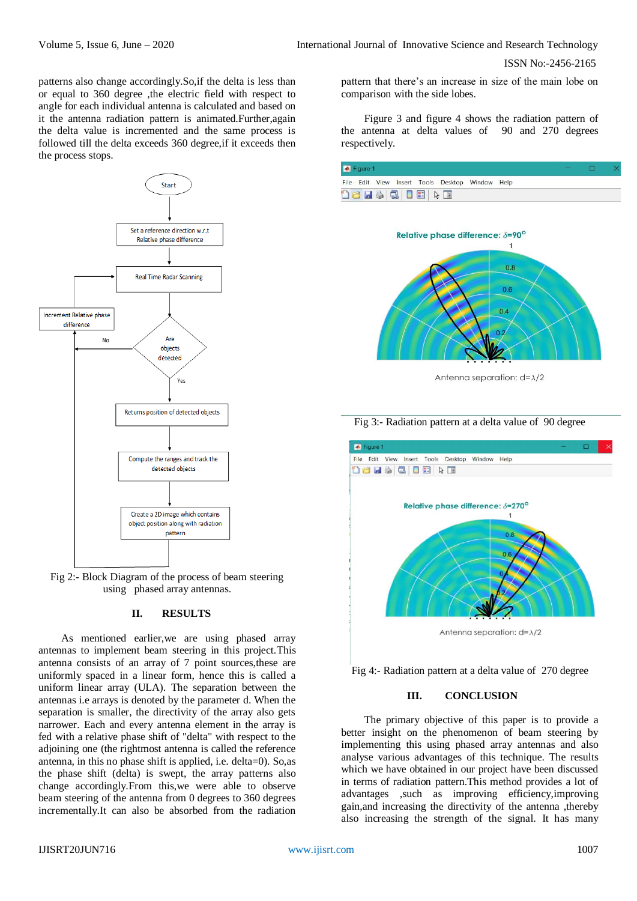ISSN No:-2456-2165

patterns also change accordingly.So,if the delta is less than or equal to 360 degree ,the electric field with respect to angle for each individual antenna is calculated and based on it the antenna radiation pattern is animated.Further,again the delta value is incremented and the same process is followed till the delta exceeds 360 degree,if it exceeds then the process stops.



Fig 2:- Block Diagram of the process of beam steering using phased array antennas.

### **II. RESULTS**

As mentioned earlier,we are using phased array antennas to implement beam steering in this project.This antenna consists of an array of 7 point sources,these are uniformly spaced in a linear form, hence this is called a uniform linear array (ULA). The separation between the antennas i.e arrays is denoted by the parameter d. When the separation is smaller, the directivity of the array also gets narrower. Each and every antenna element in the array is fed with a relative phase shift of "delta" with respect to the adjoining one (the rightmost antenna is called the reference antenna, in this no phase shift is applied, i.e. delta=0). So,as the phase shift (delta) is swept, the array patterns also change accordingly.From this,we were able to observe beam steering of the antenna from 0 degrees to 360 degrees incrementally.It can also be absorbed from the radiation

pattern that there's an increase in size of the main lobe on comparison with the side lobes.

Figure 3 and figure 4 shows the radiation pattern of the antenna at delta values of 90 and 270 degrees respectively.

| Figure 1 |  |  |  |                                 |  |                                                 |  |  |  |
|----------|--|--|--|---------------------------------|--|-------------------------------------------------|--|--|--|
|          |  |  |  |                                 |  | File Edit View Insert Tools Desktop Window Help |  |  |  |
|          |  |  |  | <b>16 H &amp; 3 T E &amp; T</b> |  |                                                 |  |  |  |



Antenna separation:  $d = \lambda/2$ 





Fig 4:- Radiation pattern at a delta value of 270 degree

### **III. CONCLUSION**

The primary objective of this paper is to provide a better insight on the phenomenon of beam steering by implementing this using phased array antennas and also analyse various advantages of this technique. The results which we have obtained in our project have been discussed in terms of radiation pattern.This method provides a lot of advantages ,such as improving efficiency,improving gain,and increasing the directivity of the antenna ,thereby also increasing the strength of the signal. It has many